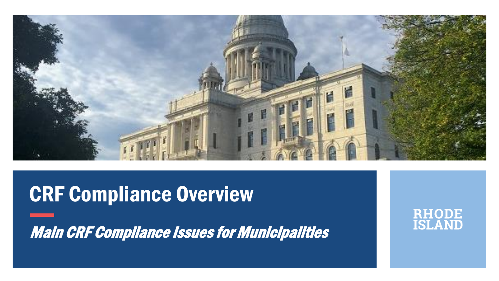

#### CRF Compliance Overview

Main CRF Compliance Issues for Municipalities

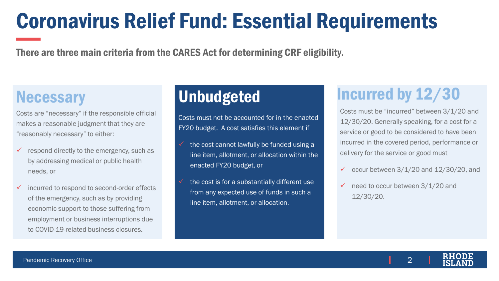# Coronavirus Relief Fund: Essential Requirements

There are three main criteria from the CARES Act for determining CRF eligibility.

Costs are "necessary" if the responsible official makes a reasonable judgment that they are "reasonably necessary" to either:

- $\checkmark$  respond directly to the emergency, such as by addressing medical or public health needs, or
- ✓ incurred to respond to second-order effects of the emergency, such as by providing economic support to those suffering from employment or business interruptions due to COVID-19-related business closures.

Costs must not be accounted for in the enacted FY20 budget. A cost satisfies this element if

- $\checkmark$  the cost cannot lawfully be funded using a line item, allotment, or allocation within the enacted FY20 budget, or
- the cost is for a substantially different use from any expected use of funds in such a line item, allotment, or allocation.

#### Necessary **Unbudgeted Incurred by 12/30**

Costs must be "incurred" between 3/1/20 and 12/30/20. Generally speaking, for a cost for a service or good to be considered to have been incurred in the covered period, performance or delivery for the service or good must

- $\checkmark$  occur between 3/1/20 and 12/30/20, and
- $\checkmark$  need to occur between 3/1/20 and 12/30/20.

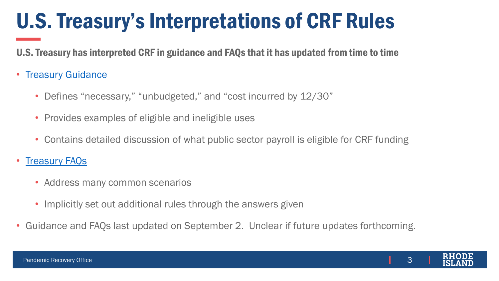# U.S. Treasury's Interpretations of CRF Rules

U.S. Treasury has interpreted CRF in guidance and FAQs that it has updated from time to time

#### • [Treasury Guidance](https://home.treasury.gov/system/files/136/Coronavirus-Relief-Fund-Guidance-for-State-Territorial-Local-and-Tribal-Governments.pdf)

- Defines "necessary," "unbudgeted," and "cost incurred by 12/30"
- Provides examples of eligible and ineligible uses
- Contains detailed discussion of what public sector payroll is eligible for CRF funding

#### • [Treasury FAQs](https://home.treasury.gov/system/files/136/Coronavirus-Relief-Fund-Frequently-Asked-Questions.pdf)

- Address many common scenarios
- Implicitly set out additional rules through the answers given
- Guidance and FAQs last updated on September 2. Unclear if future updates forthcoming.

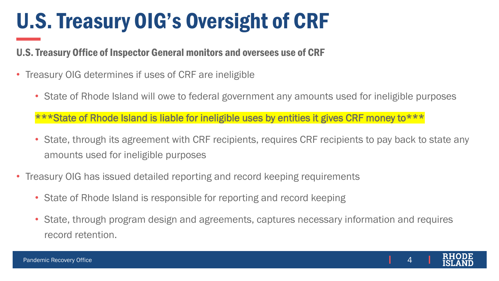# U.S. Treasury OIG's Oversight of CRF

U.S. Treasury Office of Inspector General monitors and oversees use of CRF

- Treasury OIG determines if uses of CRF are ineligible
	- State of Rhode Island will owe to federal government any amounts used for ineligible purposes

\*\*\*State of Rhode Island is liable for ineligible uses by entities it gives CRF money to\*\*\*

- State, through its agreement with CRF recipients, requires CRF recipients to pay back to state any amounts used for ineligible purposes
- Treasury OIG has issued detailed reporting and record keeping requirements
	- State of Rhode Island is responsible for reporting and record keeping
	- State, through program design and agreements, captures necessary information and requires record retention.

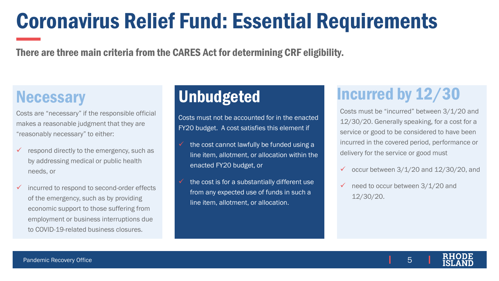# Coronavirus Relief Fund: Essential Requirements

There are three main criteria from the CARES Act for determining CRF eligibility.

Costs are "necessary" if the responsible official makes a reasonable judgment that they are "reasonably necessary" to either:

- $\checkmark$  respond directly to the emergency, such as by addressing medical or public health needs, or
- ✓ incurred to respond to second-order effects of the emergency, such as by providing economic support to those suffering from employment or business interruptions due to COVID-19-related business closures.

Costs must not be accounted for in the enacted FY20 budget. A cost satisfies this element if

- $\checkmark$  the cost cannot lawfully be funded using a line item, allotment, or allocation within the enacted FY20 budget, or
- the cost is for a substantially different use from any expected use of funds in such a line item, allotment, or allocation.

#### Necessary **Unbudgeted Incurred by 12/30**

Costs must be "incurred" between 3/1/20 and 12/30/20. Generally speaking, for a cost for a service or good to be considered to have been incurred in the covered period, performance or delivery for the service or good must

- $\checkmark$  occur between 3/1/20 and 12/30/20, and
- $\checkmark$  need to occur between 3/1/20 and 12/30/20.

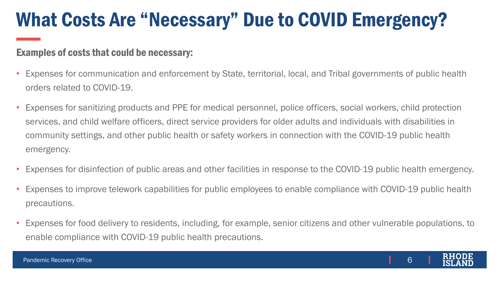#### What Costs Are "Necessary" Due to COVID Emergency?

#### Examples of costs that could be necessary:

- Expenses for communication and enforcement by State, territorial, local, and Tribal governments of public health orders related to COVID-19.
- Expenses for sanitizing products and PPE for medical personnel, police officers, social workers, child protection services, and child welfare officers, direct service providers for older adults and individuals with disabilities in community settings, and other public health or safety workers in connection with the COVID-19 public health emergency.
- Expenses for disinfection of public areas and other facilities in response to the COVID-19 public health emergency.
- Expenses to improve telework capabilities for public employees to enable compliance with COVID-19 public health precautions.
- Expenses for food delivery to residents, including, for example, senior citizens and other vulnerable populations, to enable compliance with COVID-19 public health precautions.

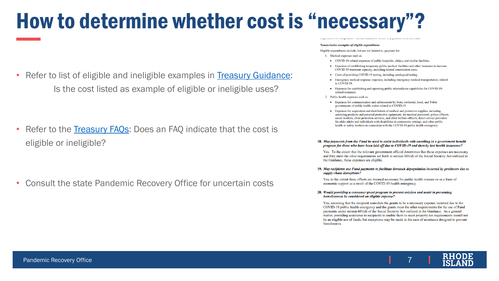# How to determine whether cost is "necessary"?

• Refer to list of eligible and ineligible examples in [Treasury Guidance:](https://home.treasury.gov/system/files/136/Coronavirus-Relief-Fund-Guidance-for-State-Territorial-Local-and-Tribal-Governments.pdf) Is the cost listed as example of eligible or ineligible uses?

• Refer to the Treasury FAOs: Does an FAO indicate that the cost is eligible or ineligible?

• Consult the state Pandemic Recovery Office for uncertain costs

#### Nonexclusive examples of eligible expenditures

Eligible expenditures include, but are not limited to, payment for:

- 1. Medical expenses such as:
- COVID-19-related expenses of public hospitals, clinics, and similar facilities.
- Expenses of establishing temporary public medical facilities and other measures to increase COVID-19 treatment capacity, including related construction costs.
- Costs of providing COVID-19 testing, including serological testing.
- Emergency medical response expenses, including emergency medical transportation, related to COVID-19.
- Expenses for establishing and operating public telemedicine capabilities for COVID-19related treatment.
- 2. Public health expenses such as:
- Expenses for communication and enforcement by State, territorial, local, and Tribal governments of public health orders related to COVID-19.
- Expenses for acquisition and distribution of medical and protective supplies, including sanitizing products and personal protective equipment, for medical personnel, police officers, social workers, child protection services, and child welfare officers, direct service providers for older adults and individuals with disabilities in community settings, and other public health or safety workers in connection with the COVID-19 public health emergency.

#### 18. May payments from the Fund be used to assist individuals with enrolling in a government benefit program for those who have been laid off due to COVID-19 and thereby lost health insurance?

Yes. To the extent that the relevant government official determines that these expenses are necessary and they meet the other requirements set forth in section 601(d) of the Social Security Act outlined in the Guidance, these expenses are eligible.

19. May recipients use Fund payments to facilitate livestock depopulation incurred by producers due to supply chain disruptions?

Yes, to the extent these efforts are deemed necessary for public health reasons or as a form of economic support as a result of the COVID-19 health emergency.

20. Would providing a consumer grant program to prevent eviction and assist in preventing homelessness be considered an eligible expense?

Yes, assuming that the recipient considers the grants to be a necessary expense incurred due to the COVID-19 public health emergency and the grants meet the other requirements for the use of Fund payments under section 601(d) of the Social Security Act outlined in the Guidance. As a general matter, providing assistance to recipients to enable them to meet property tax requirements would not be an eligible use of funds, but exceptions may be made in the case of assistance designed to prevent foreclosures.

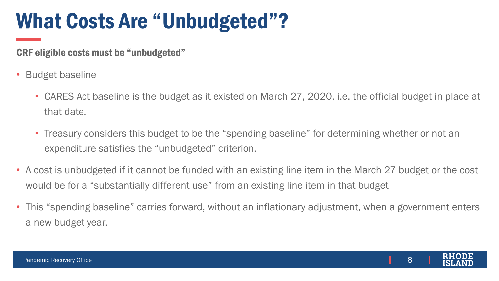# What Costs Are "Unbudgeted"?

CRF eligible costs must be "unbudgeted"

- Budget baseline
	- CARES Act baseline is the budget as it existed on March 27, 2020, i.e. the official budget in place at that date.
	- Treasury considers this budget to be the "spending baseline" for determining whether or not an expenditure satisfies the "unbudgeted" criterion.
- A cost is unbudgeted if it cannot be funded with an existing line item in the March 27 budget or the cost would be for a "substantially different use" from an existing line item in that budget
- This "spending baseline" carries forward, without an inflationary adjustment, when a government enters a new budget year.

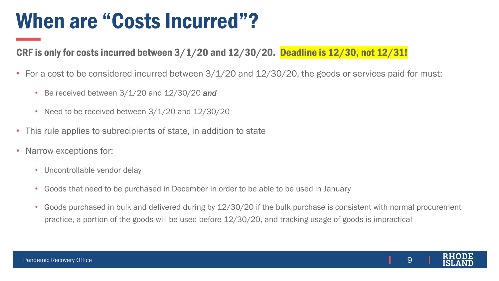### When are "Costs Incurred"?

#### CRF is only for costs incurred between 3/1/20 and 12/30/20. Deadline is 12/30, not 12/31!

- For a cost to be considered incurred between  $3/1/20$  and  $12/30/20$ , the goods or services paid for must:
	- Be received between 3/1/20 and 12/30/20 *and*
	- Need to be received between 3/1/20 and 12/30/20
- This rule applies to subrecipients of state, in addition to state
- Narrow exceptions for:
	- Uncontrollable vendor delay
	- Goods that need to be purchased in December in order to be able to be used in January
	- Goods purchased in bulk and delivered during by 12/30/20 if the bulk purchase is consistent with normal procurement practice, a portion of the goods will be used before 12/30/20, and tracking usage of goods is impractical

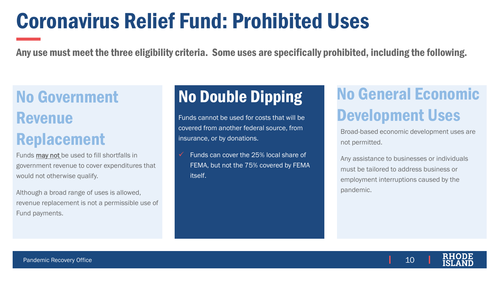## Coronavirus Relief Fund: Prohibited Uses

Any use must meet the three eligibility criteria. Some uses are specifically prohibited, including the following.

#### No Government Revenue Replacement

Funds may not be used to fill shortfalls in government revenue to cover expenditures that would not otherwise qualify.

Although a broad range of uses is allowed, revenue replacement is not a permissible use of Fund payments.

Funds cannot be used for costs that will be covered from another federal source, from insurance, or by donations.

Funds can cover the 25% local share of FEMA, but not the 75% covered by FEMA itself.

#### No Double Dipping No General Economic Development Uses

Broad-based economic development uses are not permitted.

Any assistance to businesses or individuals must be tailored to address business or employment interruptions caused by the pandemic.

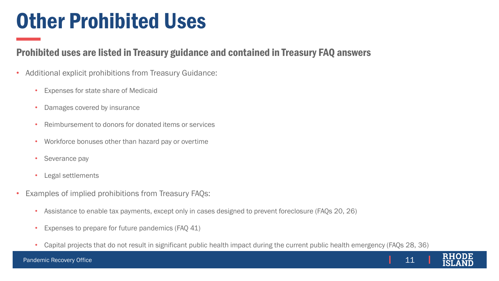### Other Prohibited Uses

#### Prohibited uses are listed in Treasury guidance and contained in Treasury FAQ answers

- Additional explicit prohibitions from Treasury Guidance:
	- Expenses for state share of Medicaid
	- Damages covered by insurance
	- Reimbursement to donors for donated items or services
	- Workforce bonuses other than hazard pay or overtime
	- Severance pay
	- Legal settlements
- Examples of implied prohibitions from Treasury FAQs:
	- Assistance to enable tax payments, except only in cases designed to prevent foreclosure (FAQs 20, 26)
	- Expenses to prepare for future pandemics (FAQ 41)
	- Capital projects that do not result in significant public health impact during the current public health emergency (FAQs 28, 36)

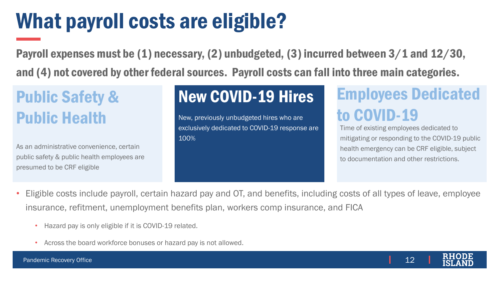# What payroll costs are eligible?

Payroll expenses must be (1) necessary, (2) unbudgeted, (3) incurred between 3/1 and 12/30, and (4) not covered by other federal sources. Payroll costs can fall into three main categories.

#### Public Safety & Public Health

As an administrative convenience, certain public safety & public health employees are presumed to be CRF eligible

New, previously unbudgeted hires who are exclusively dedicated to COVID-19 response are 100%

#### New COVID-19 Hires Employees Dedicated to COVID-19

Time of existing employees dedicated to mitigating or responding to the COVID-19 public health emergency can be CRF eligible, subject to documentation and other restrictions.

- Eligible costs include payroll, certain hazard pay and OT, and benefits, including costs of all types of leave, employee insurance, refitment, unemployment benefits plan, workers comp insurance, and FICA
	- Hazard pay is only eligible if it is COVID-19 related.
	- Across the board workforce bonuses or hazard pay is not allowed.

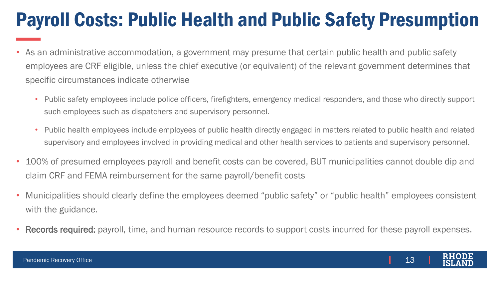#### Payroll Costs: Public Health and Public Safety Presumption

- As an administrative accommodation, a government may presume that certain public health and public safety employees are CRF eligible, unless the chief executive (or equivalent) of the relevant government determines that specific circumstances indicate otherwise
	- Public safety employees include police officers, firefighters, emergency medical responders, and those who directly support such employees such as dispatchers and supervisory personnel.
	- Public health employees include employees of public health directly engaged in matters related to public health and related supervisory and employees involved in providing medical and other health services to patients and supervisory personnel.
- 100% of presumed employees payroll and benefit costs can be covered, BUT municipalities cannot double dip and claim CRF and FEMA reimbursement for the same payroll/benefit costs
- Municipalities should clearly define the employees deemed "public safety" or "public health" employees consistent with the guidance.
- Records required: payroll, time, and human resource records to support costs incurred for these payroll expenses.

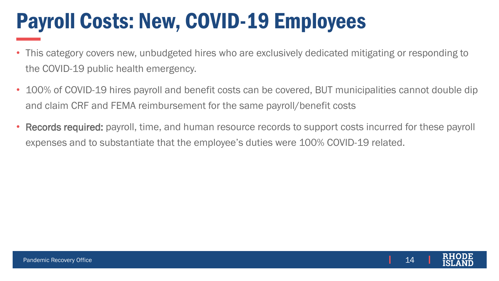# Payroll Costs: New, COVID-19 Employees

- This category covers new, unbudgeted hires who are exclusively dedicated mitigating or responding to the COVID-19 public health emergency.
- 100% of COVID-19 hires payroll and benefit costs can be covered, BUT municipalities cannot double dip and claim CRF and FEMA reimbursement for the same payroll/benefit costs
- Records required: payroll, time, and human resource records to support costs incurred for these payroll expenses and to substantiate that the employee's duties were 100% COVID-19 related.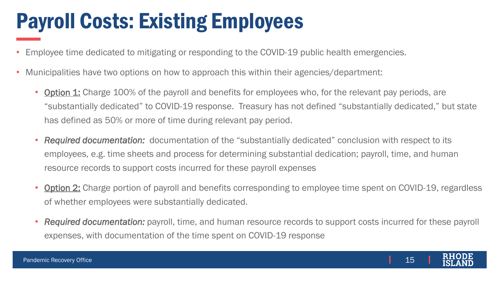# Payroll Costs: Existing Employees

- Employee time dedicated to mitigating or responding to the COVID-19 public health emergencies.
- Municipalities have two options on how to approach this within their agencies/department:
	- **Option 1:** Charge 100% of the payroll and benefits for employees who, for the relevant pay periods, are "substantially dedicated" to COVID-19 response. Treasury has not defined "substantially dedicated," but state has defined as 50% or more of time during relevant pay period.
	- *Required documentation:* documentation of the "substantially dedicated" conclusion with respect to its employees, e.g. time sheets and process for determining substantial dedication; payroll, time, and human resource records to support costs incurred for these payroll expenses
	- Option 2: Charge portion of payroll and benefits corresponding to employee time spent on COVID-19, regardless of whether employees were substantially dedicated.
	- *Required documentation:* payroll, time, and human resource records to support costs incurred for these payroll expenses, with documentation of the time spent on COVID-19 response

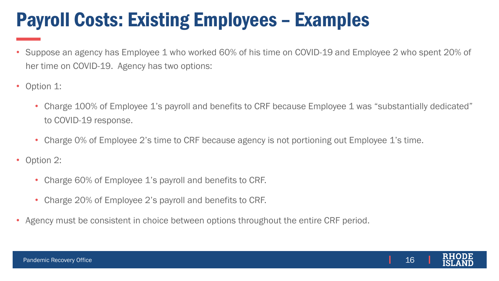#### Payroll Costs: Existing Employees – Examples

- Suppose an agency has Employee 1 who worked 60% of his time on COVID-19 and Employee 2 who spent 20% of her time on COVID-19. Agency has two options:
- Option 1:
	- Charge 100% of Employee 1's payroll and benefits to CRF because Employee 1 was "substantially dedicated" to COVID-19 response.
	- Charge 0% of Employee 2's time to CRF because agency is not portioning out Employee 1's time.
- Option 2:
	- Charge 60% of Employee 1's payroll and benefits to CRF.
	- Charge 20% of Employee 2's payroll and benefits to CRF.
- Agency must be consistent in choice between options throughout the entire CRF period.